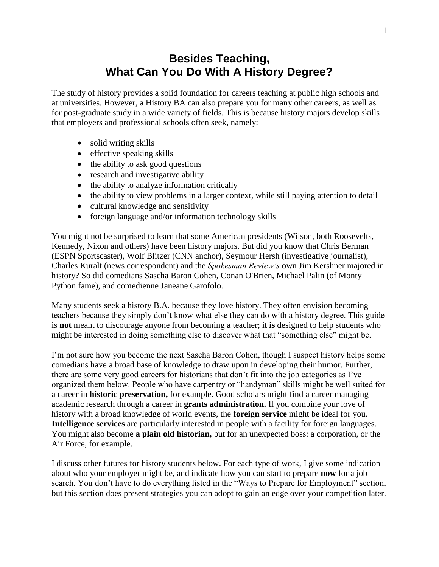### **Besides Teaching, What Can You Do With A History Degree?**

The study of history provides a solid foundation for careers teaching at public high schools and at universities. However, a History BA can also prepare you for many other careers, as well as for post-graduate study in a wide variety of fields. This is because history majors develop skills that employers and professional schools often seek, namely:

- solid writing skills
- effective speaking skills
- the ability to ask good questions
- research and investigative ability
- the ability to analyze information critically
- the ability to view problems in a larger context, while still paying attention to detail
- cultural knowledge and sensitivity
- foreign language and/or information technology skills

You might not be surprised to learn that some American presidents (Wilson, both Roosevelts, Kennedy, Nixon and others) have been history majors. But did you know that Chris Berman (ESPN Sportscaster), Wolf Blitzer (CNN anchor), Seymour Hersh (investigative journalist), Charles Kuralt (news correspondent) and the *Spokesman Review's* own Jim Kershner majored in history? So did comedians Sascha Baron Cohen, Conan O'Brien, Michael Palin (of Monty Python fame), and comedienne Janeane Garofolo.

Many students seek a history B.A. because they love history. They often envision becoming teachers because they simply don't know what else they can do with a history degree. This guide is **not** meant to discourage anyone from becoming a teacher; it **is** designed to help students who might be interested in doing something else to discover what that "something else" might be.

I'm not sure how you become the next Sascha Baron Cohen, though I suspect history helps some comedians have a broad base of knowledge to draw upon in developing their humor. Further, there are some very good careers for historians that don't fit into the job categories as I've organized them below. People who have carpentry or "handyman" skills might be well suited for a career in **historic preservation,** for example. Good scholars might find a career managing academic research through a career in **grants administration.** If you combine your love of history with a broad knowledge of world events, the **foreign service** might be ideal for you. **Intelligence services** are particularly interested in people with a facility for foreign languages. You might also become **a plain old historian,** but for an unexpected boss: a corporation, or the Air Force, for example.

I discuss other futures for history students below. For each type of work, I give some indication about who your employer might be, and indicate how you can start to prepare **now** for a job search. You don't have to do everything listed in the "Ways to Prepare for Employment" section, but this section does present strategies you can adopt to gain an edge over your competition later.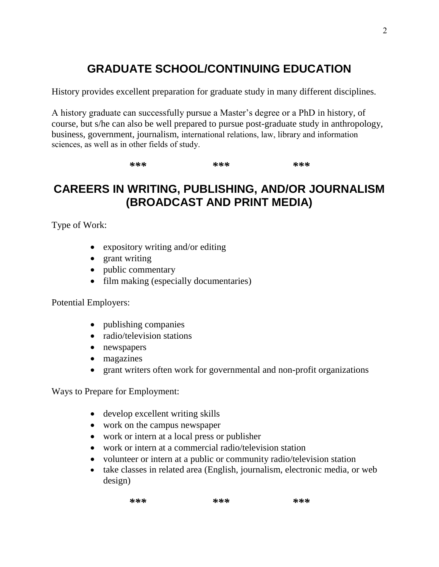# **GRADUATE SCHOOL/CONTINUING EDUCATION**

History provides excellent preparation for graduate study in many different disciplines.

A history graduate can successfully pursue a Master's degree or a PhD in history, of course, but s/he can also be well prepared to pursue post-graduate study in anthropology, business, government, journalism, international relations, law, library and information sciences, as well as in other fields of study.

*\*\*\* \*\*\* \*\*\** 

### **CAREERS IN WRITING, PUBLISHING, AND/OR JOURNALISM (BROADCAST AND PRINT MEDIA)**

Type of Work:

- expository writing and/or editing
- grant writing
- public commentary
- film making (especially documentaries)

#### Potential Employers:

- publishing companies
- radio/television stations
- newspapers
- magazines
- grant writers often work for governmental and non-profit organizations

Ways to Prepare for Employment:

- develop excellent writing skills
- work on the campus newspaper
- work or intern at a local press or publisher
- work or intern at a commercial radio/television station
- volunteer or intern at a public or community radio/television station
- take classes in related area (English, journalism, electronic media, or web design)

| *** | *** | *** |
|-----|-----|-----|
|     |     |     |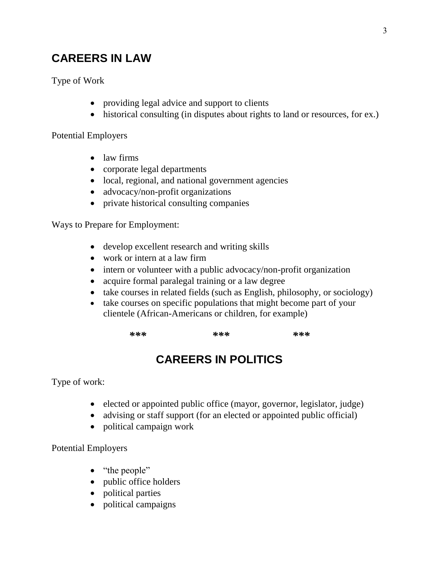### **CAREERS IN LAW**

Type of Work

- providing legal advice and support to clients
- historical consulting (in disputes about rights to land or resources, for ex.)

Potential Employers

- law firms
- corporate legal departments
- local, regional, and national government agencies
- advocacy/non-profit organizations
- private historical consulting companies

Ways to Prepare for Employment:

- develop excellent research and writing skills
- work or intern at a law firm
- intern or volunteer with a public advocacy/non-profit organization
- acquire formal paralegal training or a law degree
- take courses in related fields (such as English, philosophy, or sociology)
- take courses on specific populations that might become part of your clientele (African-Americans or children, for example)

*\*\*\* \*\*\* \*\*\** 

# **CAREERS IN POLITICS**

Type of work:

- elected or appointed public office (mayor, governor, legislator, judge)
- advising or staff support (for an elected or appointed public official)
- political campaign work

Potential Employers

- "the people"
- public office holders
- political parties
- political campaigns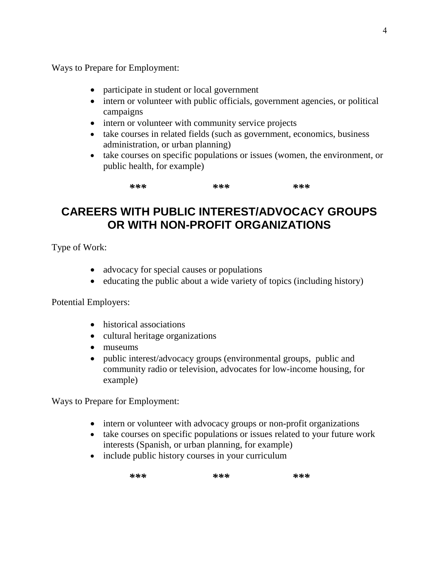Ways to Prepare for Employment:

- participate in student or local government
- intern or volunteer with public officials, government agencies, or political campaigns
- intern or volunteer with community service projects
- take courses in related fields (such as government, economics, business administration, or urban planning)
- take courses on specific populations or issues (women, the environment, or public health, for example)

*\*\*\* \*\*\* \*\*\** 

### **CAREERS WITH PUBLIC INTEREST/ADVOCACY GROUPS OR WITH NON-PROFIT ORGANIZATIONS**

Type of Work:

- advocacy for special causes or populations
- $\bullet$  educating the public about a wide variety of topics (including history)

Potential Employers:

- historical associations
- cultural heritage organizations
- museums
- public interest/advocacy groups (environmental groups, public and community radio or television, advocates for low-income housing, for example)

Ways to Prepare for Employment:

- intern or volunteer with advocacy groups or non-profit organizations
- take courses on specific populations or issues related to your future work interests (Spanish, or urban planning, for example)
- include public history courses in your curriculum

| *** | *** | *** |
|-----|-----|-----|
|     |     |     |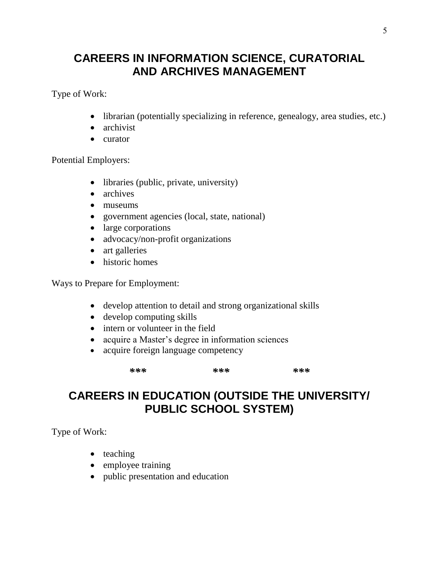### **CAREERS IN INFORMATION SCIENCE, CURATORIAL AND ARCHIVES MANAGEMENT**

Type of Work:

- librarian (potentially specializing in reference, genealogy, area studies, etc.)
- archivist
- curator

Potential Employers:

- libraries (public, private, university)
- archives
- museums
- government agencies (local, state, national)
- large corporations
- advocacy/non-profit organizations
- art galleries
- historic homes

Ways to Prepare for Employment:

- develop attention to detail and strong organizational skills
- develop computing skills
- intern or volunteer in the field
- acquire a Master's degree in information sciences
- acquire foreign language competency

*\*\*\* \*\*\* \*\*\** 

### **CAREERS IN EDUCATION (OUTSIDE THE UNIVERSITY/ PUBLIC SCHOOL SYSTEM)**

Type of Work:

- $\bullet$  teaching
- employee training
- public presentation and education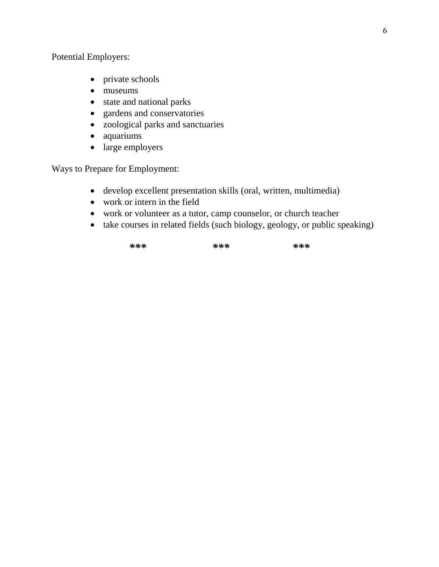Potential Employers:

- private schools
- museums
- state and national parks
- gardens and conservatories
- zoological parks and sanctuaries
- aquariums
- large employers

Ways to Prepare for Employment:

- develop excellent presentation skills (oral, written, multimedia)
- work or intern in the field
- work or volunteer as a tutor, camp counselor, or church teacher
- take courses in related fields (such biology, geology, or public speaking)

*\*\*\* \*\*\* \*\*\**